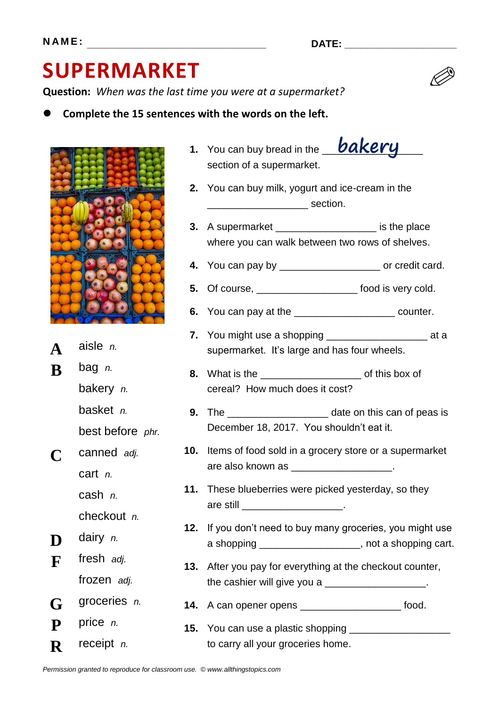## **SUPERMARKET**

**Question:** *When was the last time you were at a supermarket?*

**Complete the 15 sentences with the words on the left.**



- **A** aisle *n.* **B** bag *n.* bakery *n.* basket *n.* best before *phr.* **C** canned *adj.* cart *n.* cash *n.* checkout *n.* **D** dairy *n.* **F** fresh *adj.* frozen *adj.* **G** groceries *n.* **P** price *n.*
- **R** receipt *n.*
- **1.** You can buy bread in the **UUKEYY** section of a supermarket.
- **2.** You can buy milk, yogurt and ice-cream in the \_\_\_\_\_\_\_\_\_\_\_\_\_\_\_\_\_\_ section.
- **3.** A supermarket \_\_\_\_\_\_\_\_\_\_\_\_\_\_\_\_\_\_ is the place where you can walk between two rows of shelves.
- **4.** You can pay by \_\_\_\_\_\_\_\_\_\_\_\_\_\_\_\_\_\_ or credit card.
- **5.** Of course, \_\_\_\_\_\_\_\_\_\_\_\_\_\_\_\_\_\_ food is very cold.
- **6.** You can pay at the \_\_\_\_\_\_\_\_\_\_\_\_\_\_\_\_\_\_ counter.
- **7.** You might use a shopping \_\_\_\_\_\_\_\_\_\_\_\_\_\_\_\_\_\_ at a supermarket. It's large and has four wheels.
- **8.** What is the \_\_\_\_\_\_\_\_\_\_\_\_\_\_\_\_\_\_ of this box of cereal? How much does it cost?
- **9.** The \_\_\_\_\_\_\_\_\_\_\_\_\_\_\_\_\_\_\_\_ date on this can of peas is December 18, 2017. You shouldn't eat it.
- **10.** Items of food sold in a grocery store or a supermarket are also known as \_\_\_\_\_\_\_\_\_\_\_\_\_\_\_\_\_\_\_.
- **11.** These blueberries were picked yesterday, so they are still \_\_\_\_\_\_\_\_\_\_\_\_\_\_\_\_\_\_\_\_\_.
- **12.** If you don't need to buy many groceries, you might use a shopping \_\_\_\_\_\_\_\_\_\_\_\_\_\_\_\_\_\_, not a shopping cart.
- **13.** After you pay for everything at the checkout counter, the cashier will give you a \_\_\_\_\_\_\_\_\_\_\_\_\_\_\_\_\_\_\_.
- **14.** A can opener opens \_\_\_\_\_\_\_\_\_\_\_\_\_\_\_\_\_\_ food.
- **15.** You can use a plastic shopping \_\_\_\_\_\_\_\_\_\_\_\_\_\_\_\_\_\_ to carry all your groceries home.